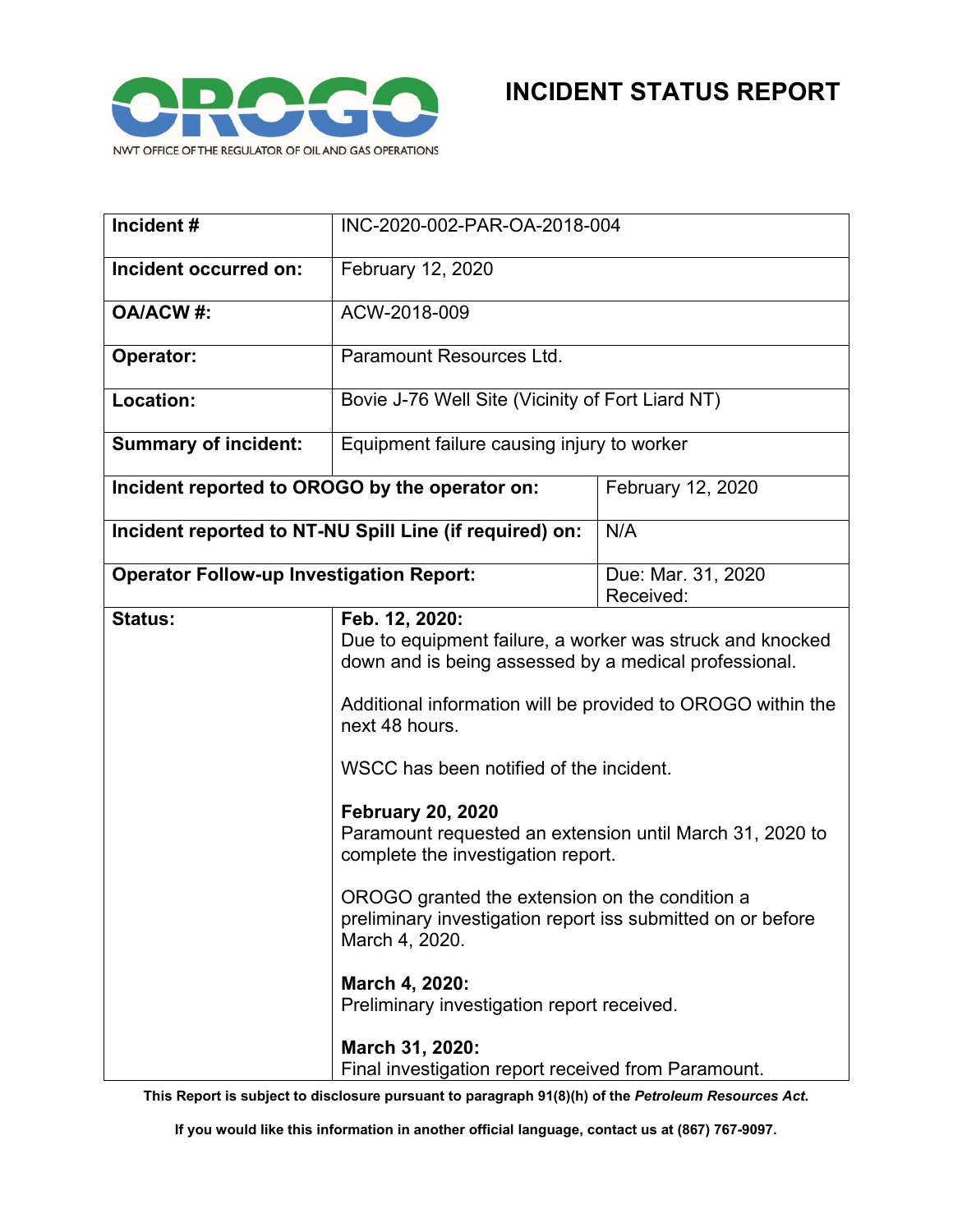

| Incident#                                               | INC-2020-002-PAR-OA-2018-004                                                                                                                                                                                                                                                                                                                                                                                                                                                                                                                                                                                         |                                 |
|---------------------------------------------------------|----------------------------------------------------------------------------------------------------------------------------------------------------------------------------------------------------------------------------------------------------------------------------------------------------------------------------------------------------------------------------------------------------------------------------------------------------------------------------------------------------------------------------------------------------------------------------------------------------------------------|---------------------------------|
| Incident occurred on:                                   | February 12, 2020                                                                                                                                                                                                                                                                                                                                                                                                                                                                                                                                                                                                    |                                 |
| <b>OA/ACW#:</b>                                         | ACW-2018-009                                                                                                                                                                                                                                                                                                                                                                                                                                                                                                                                                                                                         |                                 |
| Operator:                                               | Paramount Resources Ltd.                                                                                                                                                                                                                                                                                                                                                                                                                                                                                                                                                                                             |                                 |
| Location:                                               | Bovie J-76 Well Site (Vicinity of Fort Liard NT)                                                                                                                                                                                                                                                                                                                                                                                                                                                                                                                                                                     |                                 |
| <b>Summary of incident:</b>                             | Equipment failure causing injury to worker                                                                                                                                                                                                                                                                                                                                                                                                                                                                                                                                                                           |                                 |
| Incident reported to OROGO by the operator on:          |                                                                                                                                                                                                                                                                                                                                                                                                                                                                                                                                                                                                                      | February 12, 2020               |
| Incident reported to NT-NU Spill Line (if required) on: |                                                                                                                                                                                                                                                                                                                                                                                                                                                                                                                                                                                                                      | N/A                             |
| <b>Operator Follow-up Investigation Report:</b>         |                                                                                                                                                                                                                                                                                                                                                                                                                                                                                                                                                                                                                      | Due: Mar. 31, 2020<br>Received: |
| <b>Status:</b>                                          | Feb. 12, 2020:<br>Due to equipment failure, a worker was struck and knocked<br>down and is being assessed by a medical professional.<br>Additional information will be provided to OROGO within the<br>next 48 hours.<br>WSCC has been notified of the incident.<br><b>February 20, 2020</b><br>Paramount requested an extension until March 31, 2020 to<br>complete the investigation report.<br>OROGO granted the extension on the condition a<br>preliminary investigation report iss submitted on or before<br>March 4, 2020.<br>March 4, 2020:<br>Preliminary investigation report received.<br>March 31, 2020: |                                 |

**This Report is subject to disclosure pursuant to paragraph 91(8)(h) of the** *Petroleum Resources Act***.**

**If you would like this information in another official language, contact us at (867) 767-9097.**